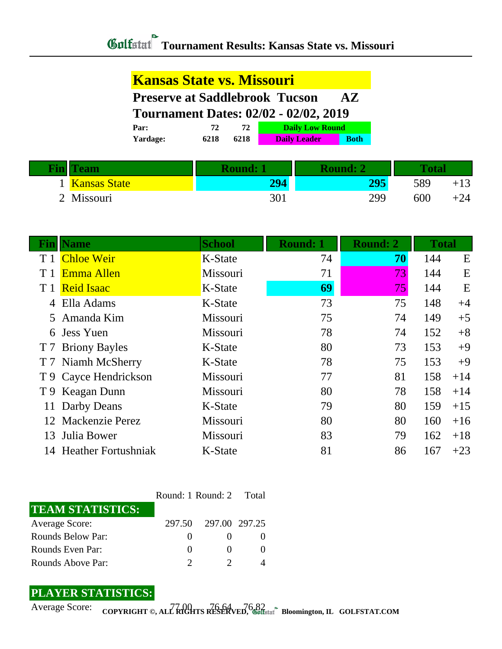## **Tournament Results: Kansas State vs. Missouri**

## **Kansas State vs. Missouri**

**Preserve at Saddlebrook Tucson AZ**

**Tournament Dates: 02/02 - 02/02, 2019**

| Par:            |      |      | <b>Daily Low Round</b> |             |
|-----------------|------|------|------------------------|-------------|
| <b>Yardage:</b> | 6218 | 6218 | <b>Daily Leader</b>    | <b>Both</b> |

| <b>Tin</b> | eam          | <b>Round:</b> |     |     |       |
|------------|--------------|---------------|-----|-----|-------|
|            | Kansas State | 294           | 205 | 589 | $+13$ |
|            | 2 Missouri   | 301           | 299 | 600 | $+24$ |

| Fin            | <b>Name</b>            | <b>School</b> | <b>Round: 1</b> | <b>Round: 2</b> | <b>Total</b> |       |
|----------------|------------------------|---------------|-----------------|-----------------|--------------|-------|
| T <sub>1</sub> | <b>Chloe Weir</b>      | K-State       | 74              | 70              | 144          | E     |
| T <sub>1</sub> | Emma Allen             | Missouri      | 71              | 73              | 144          | E     |
|                | T 1 Reid Isaac         | K-State       | 69              | 75              | 144          | E     |
|                | 4 Ella Adams           | K-State       | 73              | 75              | 148          | $+4$  |
|                | 5 Amanda Kim           | Missouri      | 75              | 74              | 149          | $+5$  |
|                | 6 Jess Yuen            | Missouri      | 78              | 74              | 152          | $+8$  |
|                | T 7 Briony Bayles      | K-State       | 80              | 73              | 153          | $+9$  |
|                | T 7 Niamh McSherry     | K-State       | 78              | 75              | 153          | $+9$  |
|                | T 9 Cayce Hendrickson  | Missouri      | 77              | 81              | 158          | $+14$ |
|                | T 9 Keagan Dunn        | Missouri      | 80              | 78              | 158          | $+14$ |
| 11             | Darby Deans            | K-State       | 79              | 80              | 159          | $+15$ |
|                | 12 Mackenzie Perez     | Missouri      | 80              | 80              | 160          | $+16$ |
|                | 13 Julia Bower         | Missouri      | 83              | 79              | 162          | $+18$ |
|                | 14 Heather Fortushniak | K-State       | 81              | 86              | 167          | $+23$ |

|                          | Round: 1 Round: 2 Total |                      |  |  |
|--------------------------|-------------------------|----------------------|--|--|
| <b>TEAM STATISTICS:</b>  |                         |                      |  |  |
| <b>Average Score:</b>    |                         | 297.50 297.00 297.25 |  |  |
| <b>Rounds Below Par:</b> | $\theta$                |                      |  |  |
| Rounds Even Par:         | $\theta$                |                      |  |  |
| Rounds Above Par:        |                         |                      |  |  |

## **PLAYER STATISTICS:**

Average Score: COPYRIGHT ©, ALL RIGHTS RESERVED, Collected<sup>®</sup> Bloomington, IL GOLFSTAT.COM